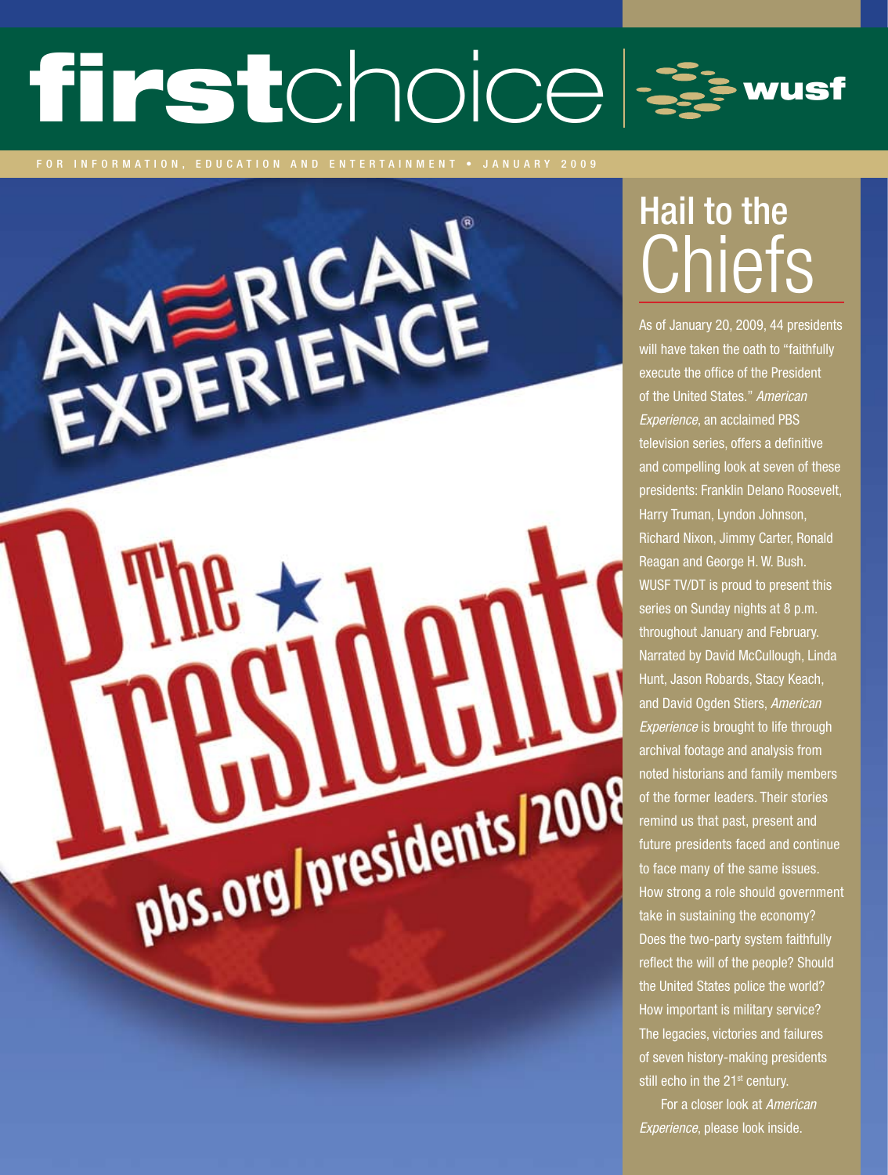# firstchoice &

for information, education and entertainment • J ANUAR Y 2009

EXPERIENCE  $\star$ phs.org/presidents/2008

# Hail to the Chiefs

As of January 20, 2009, 44 presidents will have taken the oath to "faithfully execute the office of the President of the United States." *American Experience*, an acclaimed PBS television series, offers a definitive and compelling look at seven of these presidents: Franklin Delano Roosevelt, Harry Truman, Lyndon Johnson, Richard Nixon, Jimmy Carter, Ronald Reagan and George H. W. Bush. WUSF TV/DT is proud to present this series on Sunday nights at 8 p.m. throughout January and February. Narrated by David McCullough, Linda Hunt, Jason Robards, Stacy Keach, and David Ogden Stiers, *American Experience* is brought to life through archival footage and analysis from noted historians and family members of the former leaders. Their stories remind us that past, present and future presidents faced and continue to face many of the same issues. How strong a role should government take in sustaining the economy? Does the two-party system faithfully reflect the will of the people? Should the United States police the world? How important is military service? The legacies, victories and failures of seven history-making presidents still echo in the 21<sup>st</sup> century.

For a closer look at *American Experience*, please look inside.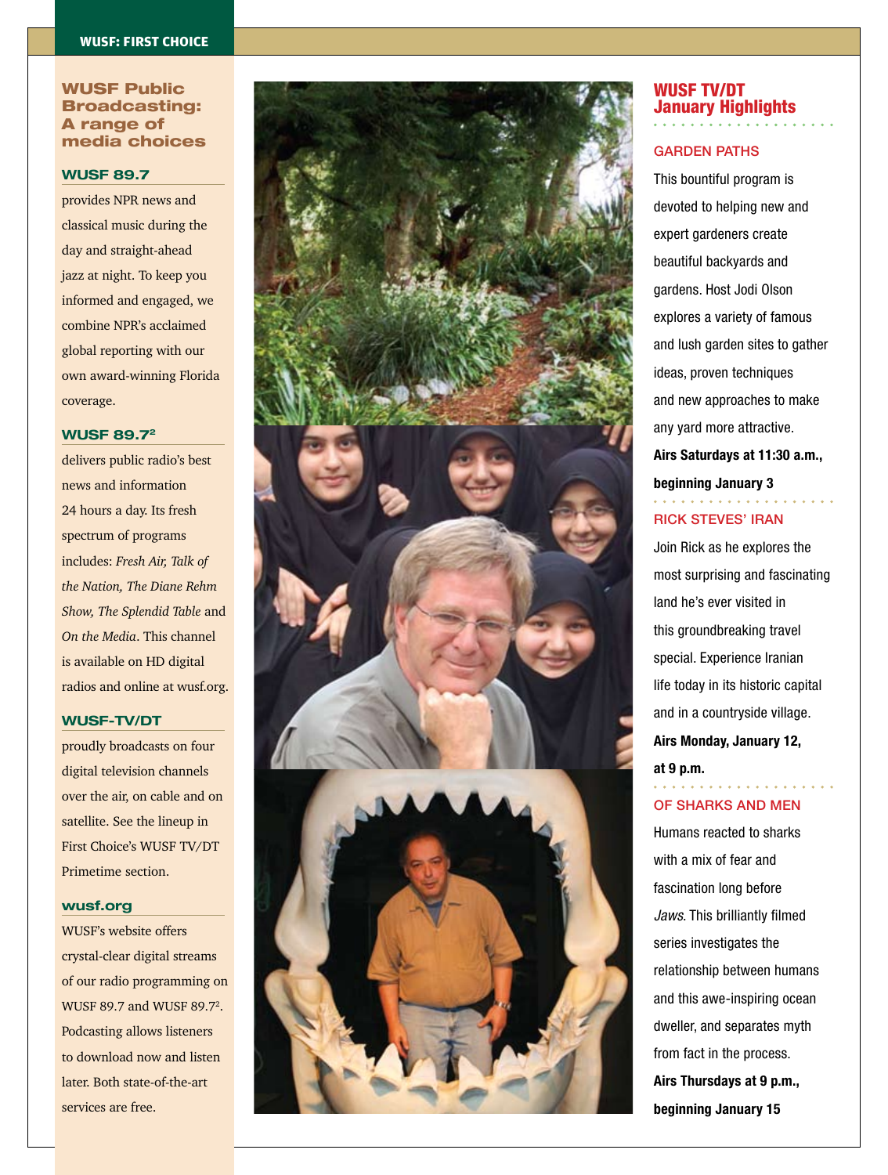#### WUSF Public Broadcasting: A range of media choices

#### **WUSF 89.7**

provides NPR news and classical music during the day and straight-ahead jazz at night. To keep you informed and engaged, we combine NPR's acclaimed global reporting with our own award-winning Florida coverage.

#### **WUSF 89.7 2**

delivers public radio's best news and information 24 hours a day. Its fresh spectrum of programs includes: *Fresh Air, Talk of the Nation, The Diane Rehm Show, The Splendid Table* and *On the Media*. This channel is available on HD digital radios and online at wusf.org.

#### **WUSF-TV/DT**

proudly broadcasts on four digital television channels over the air, on cable and on satellite. See the lineup in First Choice's Wusf Tv/D t Primetime section.

#### **wusf.org**

WUSF's website offers crystal-clear digital streams of our radio programming on<br>WUSF 89.7 and WUSF 89.7<del>'</del>. Podcasting allows listeners to download now and listen later. Both state-of-the-art services are free.



#### WUSF TV/DT January Highlights

#### GARDEN PATHS

This bountiful program is devoted to helping new and expert gardeners create beautiful backyards and gardens. Host Jodi Olson explores a variety of famous and lush garden sites to gather ideas, proven techniques and new approaches to make any yard more attractive. **Airs Saturdays at 11:30 a.m., beginning January 3**

#### RICK STEVES' IRAN

Join Rick as he explores the most surprising and fascinating land he's ever visited in this groundbreaking travel special. Experience Iranian life today in its historic capital and in a countryside village. **Airs Monday, January 12, at 9 p.m.**

#### OF SHARKS AND MEN

Humans reacted to sharks with a mix of fear and fascination long before *Jaws*. This brilliantly filmed series investigates the relationship between humans and this awe-inspiring ocean dweller, and separates myth from fact in the process. **Airs Thursdays at 9 p.m., beginning January 15**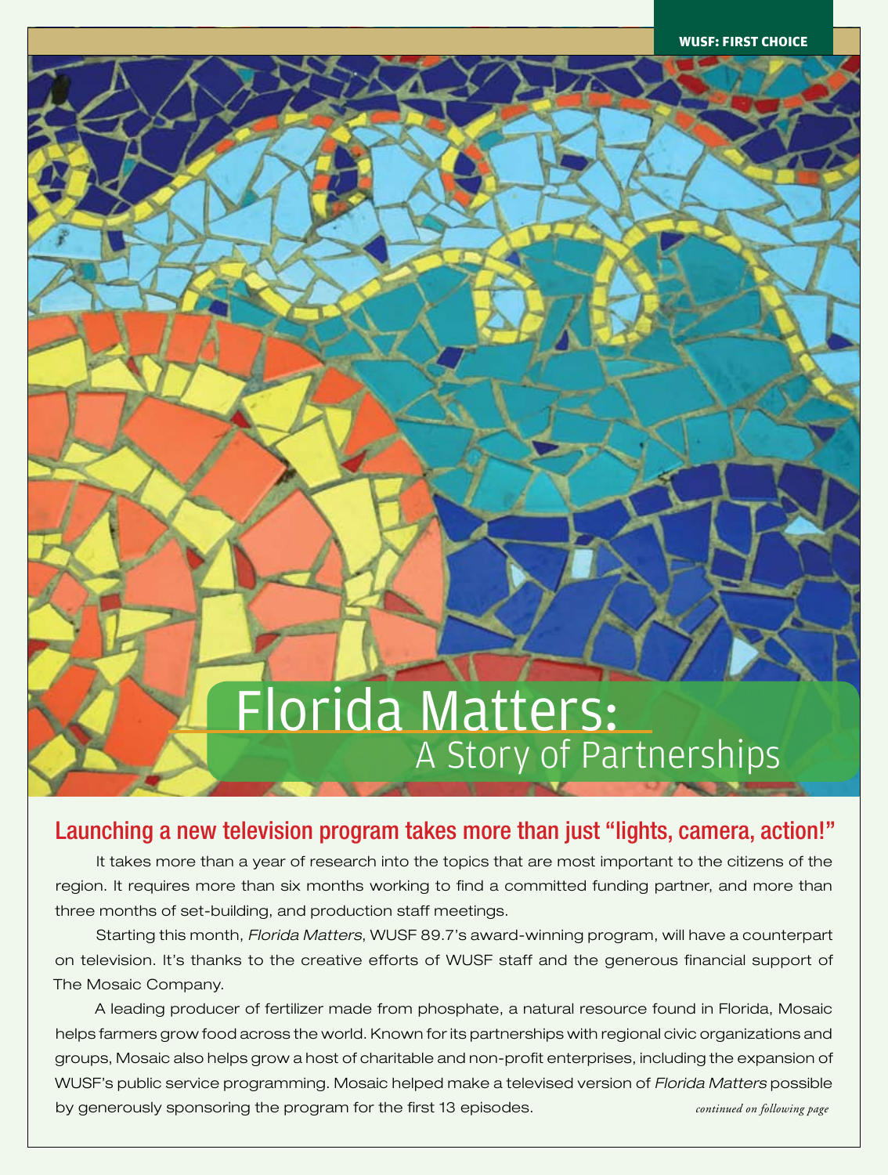# Florida Matters: A Story of Partnerships

### Launching a new television program takes more than just "lights, camera, action!"

It takes more than a year of research into the topics that are most important to the citizens of the region. It requires more than six months working to find a committed funding partner, and more than three months of set-building, and production staff meetings.

Starting this month, *Florida Matters*, WUSF 89.7's award-winning program, will have a counterpart on television. It's thanks to the creative efforts of WUSF staff and the generous financial support of The Mosaic Company.

A leading producer of fertilizer made from phosphate, a natural resource found in Florida, Mosaic helps farmers grow food across the world. Known for its partnerships with regional civic organizations and groups, Mosaic also helps grow a host of charitable and non-profit enterprises, including the expansion of WUSF's public service programming. Mosaic helped make a televised version of *Florida Matters* possible by generously sponsoring the program for the first 13 episodes. *continued on following page*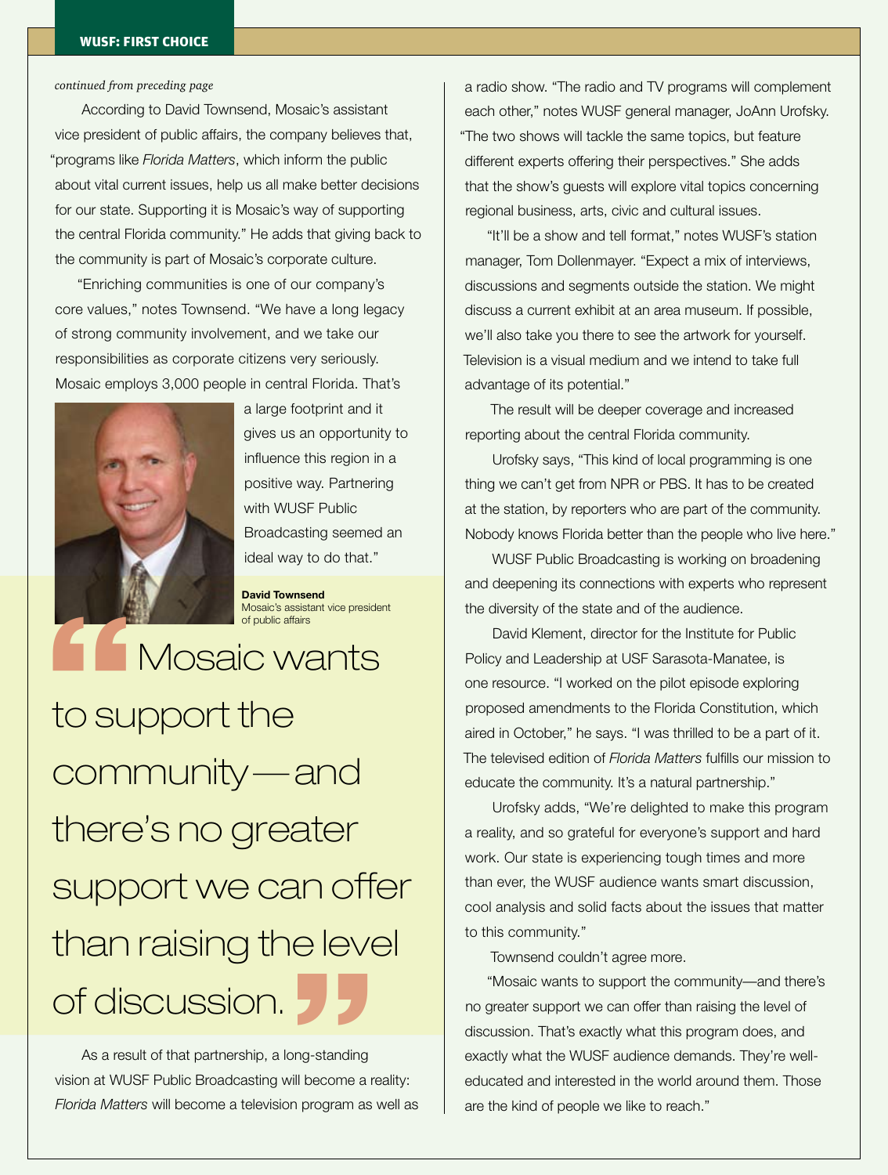#### **WUSF: FIRST CHOICE**

#### *continued from preceding page*

According to David Townsend, Mosaic's assistant vice president of public affairs, the company believes that, "programs like *Florida Matters*, which inform the public about vital current issues, help us all make better decisions for our state. Supporting it is Mosaic's way of supporting the central Florida community." He adds that giving back to the community is part of Mosaic's corporate culture.

"Enriching communities is one of our company's core values," notes Townsend. "We have a long legacy of strong community involvement, and we take our responsibilities as corporate citizens very seriously. Mosaic employs 3,000 people in central Florida. That's



a large footprint and it gives us an opportunity to influence this region in a positive way. Partnering with WUSF Public Broadcasting seemed an ideal way to do that."

**David Townsend** Mosaic's assistant vice president of public affairs

 Mosaic wants Mosaic's assisted to support the community—and there's no greater support we can offer than raising the level of discussion.

As a result of that partnership, a long-standing vision at WUSF Public Broadcasting will become a reality: *Florida Matters* will become a television program as well as

a radio show. "The radio and TV programs will complement each other," notes WUSF general manager, JoAnn Urofsky. "The two shows will tackle the same topics, but feature different experts offering their perspectives." She adds that the show's guests will explore vital topics concerning regional business, arts, civic and cultural issues.

"It'll be a show and tell format," notes WUSF's station manager, Tom Dollenmayer. "Expect a mix of interviews, discussions and segments outside the station. We might discuss a current exhibit at an area museum. If possible, we'll also take you there to see the artwork for yourself. Television is a visual medium and we intend to take full advantage of its potential."

The result will be deeper coverage and increased reporting about the central Florida community.

Urofsky says, "This kind of local programming is one thing we can't get from NPR or PBS. It has to be created at the station, by reporters who are part of the community. Nobody knows Florida better than the people who live here."

WUSF Public Broadcasting is working on broadening and deepening its connections with experts who represent the diversity of the state and of the audience.

David Klement, director for the Institute for Public Policy and Leadership at USF Sarasota-Manatee, is one resource. "I worked on the pilot episode exploring proposed amendments to the Florida Constitution, which aired in October," he says. "I was thrilled to be a part of it. The televised edition of *Florida Matters* fulfills our mission to educate the community. It's a natural partnership."

Urofsky adds, "We're delighted to make this program a reality, and so grateful for everyone's support and hard work. Our state is experiencing tough times and more than ever, the WUSF audience wants smart discussion, cool analysis and solid facts about the issues that matter to this community."

Townsend couldn't agree more.

"Mosaic wants to support the community—and there's no greater support we can offer than raising the level of discussion. That's exactly what this program does, and exactly what the WUSF audience demands. They're welleducated and interested in the world around them. Those are the kind of people we like to reach."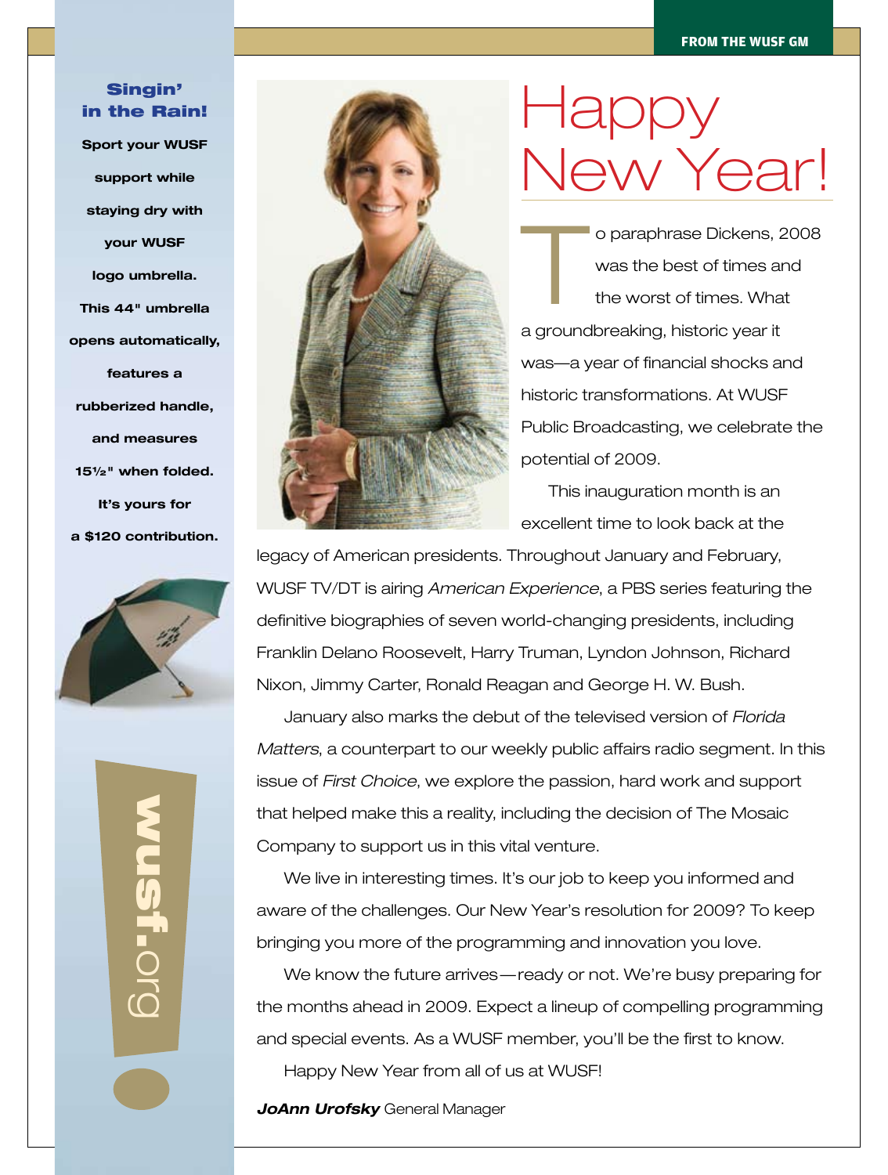## Singin' in the Rain! **Sport your WUSF support while staying dry with your WUSF logo umbrella. This 44" umbrella opens automatically, features a rubberized handle, and measures**

**It's yours for a \$120 contribution.** 

**15½" when folded.** 







# Happy New Year!

o paraphrase Dickens, 2008 was the best of times and the worst of times. What a groundbreaking, historic year it was—a year of financial shocks and historic transformations. At WUSF Public Broadcasting, we celebrate the potential of 2009.

This inauguration month is an excellent time to look back at the

legacy of American presidents. Throughout January and February, WUSF TV/DT is airing *American Experience*, a PBS series featuring the definitive biographies of seven world-changing presidents, including Franklin Delano Roosevelt, Harry Truman, Lyndon Johnson, Richard Nixon, Jimmy Carter, Ronald Reagan and George H. W. Bush.

January also marks the debut of the televised version of *Florida Matters*, a counterpart to our weekly public affairs radio segment. In this issue of *First Choice*, we explore the passion, hard work and support that helped make this a reality, including the decision of The Mosaic Company to support us in this vital venture.

We live in interesting times. It's our job to keep you informed and aware of the challenges. Our New Year's resolution for 2009? To keep bringing you more of the programming and innovation you love.

We know the future arrives—ready or not. We're busy preparing for the months ahead in 2009. Expect a lineup of compelling programming and special events. As a WUSF member, you'll be the first to know.

Happy New Year from all of us at WUSF!

*JoAnn Urofsky* General Manager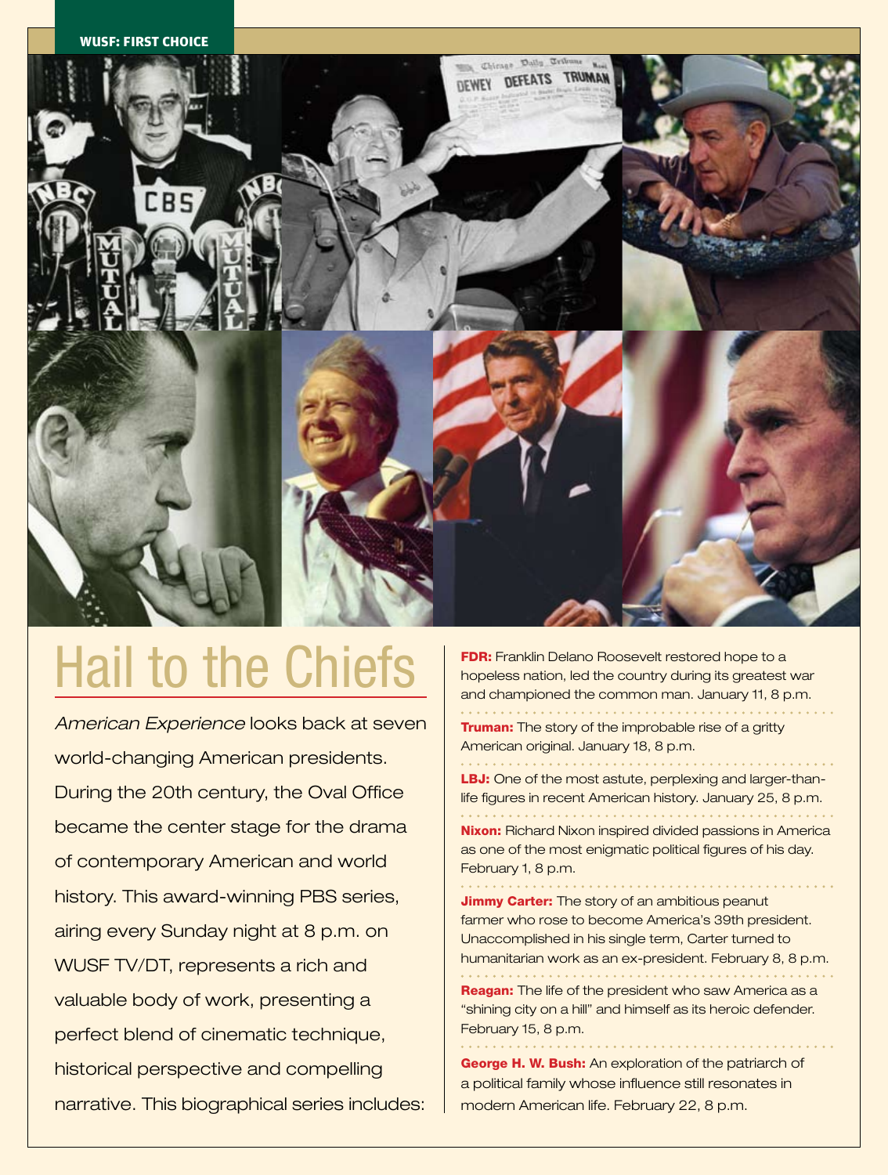

# Hail to the Chiefs

*American Experience* looks back at seven world-changing American presidents. During the 20th century, the Oval Office became the center stage for the drama of contemporary American and world history. This award-winning PBS series, airing every Sunday night at 8 p.m. on WUSF TV/DT, represents a rich and valuable body of work, presenting a perfect blend of cinematic technique, historical perspective and compelling narrative. This biographical series includes:

**FDR:** Franklin Delano Roosevelt restored hope to a hopeless nation, led the country during its greatest war and championed the common man. January 11, 8 p.m. 

**Truman:** The story of the improbable rise of a gritty American original. January 18, 8 p.m.

LBJ: One of the most astute, perplexing and larger-thanlife figures in recent American history. January 25, 8 p.m.

**Nixon:** Richard Nixon inspired divided passions in America as one of the most enigmatic political figures of his day. February 1, 8 p.m.

Jimmy Carter: The story of an ambitious peanut farmer who rose to become America's 39th president. Unaccomplished in his single term, Carter turned to humanitarian work as an ex-president. February 8, 8 p.m. **Reagan:** The life of the president who saw America as a

"shining city on a hill" and himself as its heroic defender. February 15, 8 p.m.

George H. W. Bush: An exploration of the patriarch of a political family whose influence still resonates in modern American life. February 22, 8 p.m.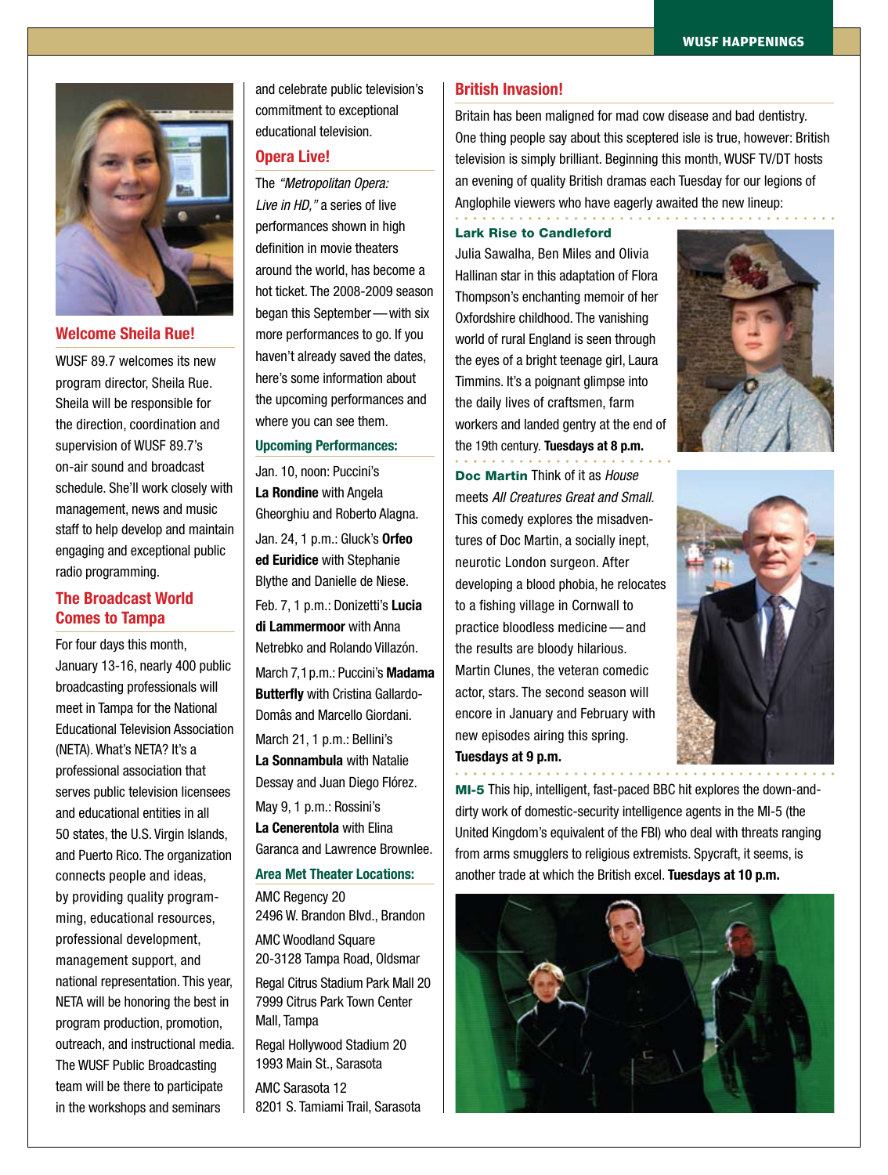

#### **Welcome Sheila Rue!**

WUSF 89.7 welcomes its new program director, Sheila Rue. Sheila will be responsible for the direction, coordination and supervision of WUSF 89.7's on-air sound and broadcast schedule. She'll work closely with management, news and music staff to help develop and maintain engaging and exceptional public radio programming.

#### **The Broadcast World Comes to Tampa**

For four days this month, January 13-16, nearly 400 public broadcasting professionals will meet in Tampa for the National Educational Television Association (NETA). What's NETA? It's a professional association that serves public television licensees and educational entities in all 50 states, the U.S. Virgin Islands, and Puerto Rico. The organization connects people and ideas, by providing quality programming, educational resources, professional development, management support, and national representation. This year, NETA will be honoring the best in program production, promotion, outreach, and instructional media. The WUSF Public Broadcasting team will be there to participate in the workshops and seminars

and celebrate public television's commitment to exceptional educational television.

#### **Opera Live!**

The *"Metropolitan Opera: Live in HD,"* a series of live performances shown in high definition in movie theaters around the world, has become a hot ticket. The 2008-2009 season began this September—with six more performances to go. If you haven't already saved the dates, here's some information about the upcoming performances and where you can see them.

#### **Upcoming Performances:**

Jan. 10, noon: Puccini's **La Rondine** with Angela Gheorghiu and Roberto Alagna. Jan. 24, 1 p.m.: Gluck's **Orfeo ed Euridice** with Stephanie Blythe and Danielle de Niese. Feb. 7, 1 p.m.: Donizetti's **Lucia di Lammermoor** with Anna Netrebko and Rolando Villazón. March 7,1p.m.: Puccini's **Madama Butterfly** with Cristina Gallardo-Domâs and Marcello Giordani. March 21, 1 p.m.: Bellini's **La Sonnambula** with Natalie Dessay and Juan Diego Flórez. May 9, 1 p.m.: Rossini's **La Cenerentola** with Elina Garanca and Lawrence Brownlee.

#### **Area Met Theater Locations:**

AMC Regency 20 2496 W. Brandon Blvd., Brandon AMC Woodland Square 20-3128 Tampa Road, Oldsmar Regal Citrus Stadium Park Mall 20 7999 Citrus Park Town Center Mall, Tampa Regal Hollywood Stadium 20 1993 Main St., Sarasota

AMC Sarasota 12 8201 S. Tamiami Trail, Sarasota

#### **British Invasion!**

Britain has been maligned for mad cow disease and bad dentistry. One thing people say about this sceptered isle is true, however: British television is simply brilliant. Beginning this month, WUSF TV/DT hosts an evening of quality British dramas each Tuesday for our legions of Anglophile viewers who have eagerly awaited the new lineup:

#### Lark Rise to Candleford

Julia Sawalha, Ben Miles and Olivia Hallinan star in this adaptation of Flora Thompson's enchanting memoir of her Oxfordshire childhood. The vanishing world of rural England is seen through the eyes of a bright teenage girl, Laura Timmins. It's a poignant glimpse into the daily lives of craftsmen, farm workers and landed gentry at the end of the 19th century. **Tuesdays at 8 p.m.**







**Tuesdays at 9 p.m.**

MI-5 This hip, intelligent, fast-paced BBC hit explores the down-anddirty work of domestic-security intelligence agents in the MI-5 (the United Kingdom's equivalent of the FBI) who deal with threats ranging from arms smugglers to religious extremists. Spycraft, it seems, is another trade at which the British excel. **Tuesdays at 10 p.m.**

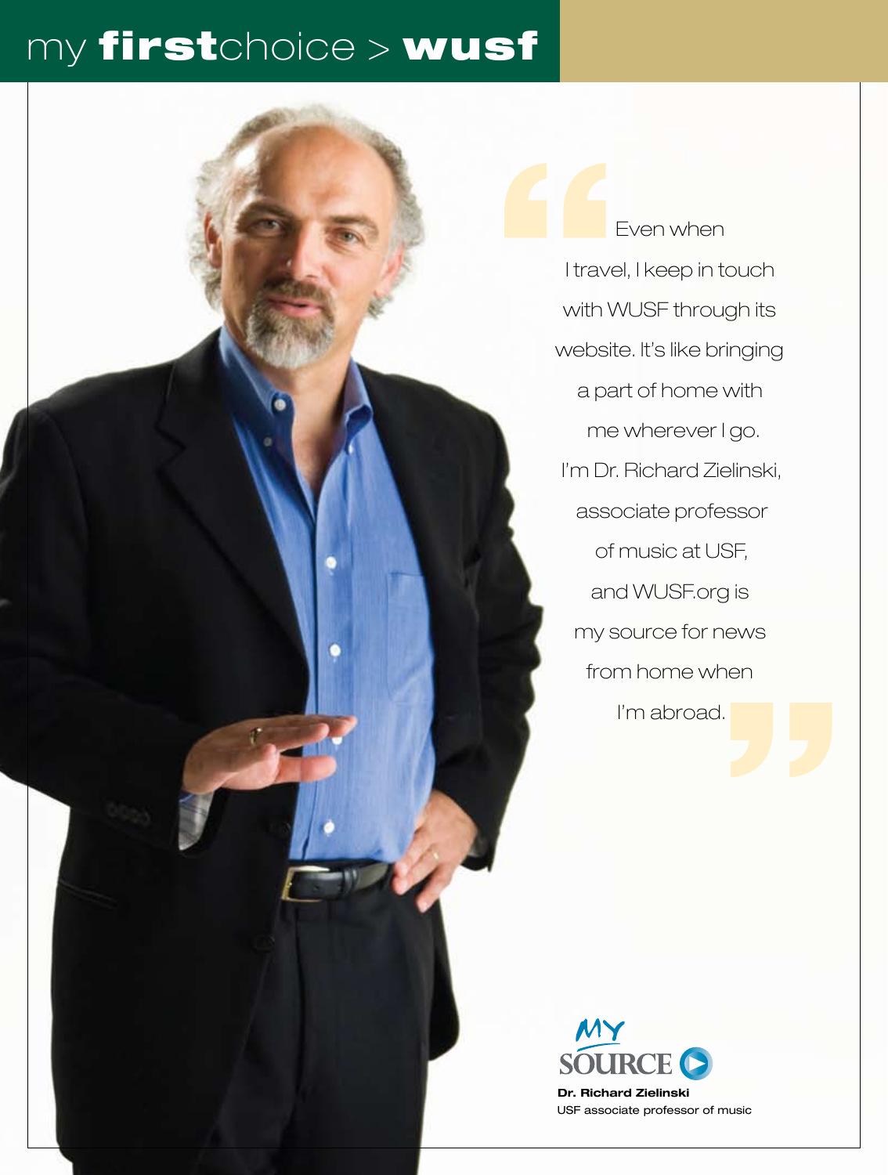# my firstchoice > wusf

" I<br>
I trave<br>
with V Even when I travel, I keep in touch with WUSF through its website. It's like bringing a part of home with me wherever I go. I'm Dr. Richard Zielinski, associate professor of music at USF, and WUSF.org is my source for news from home when I'm abroad.



**Dr. Richard Zielinski** USF associate professor of music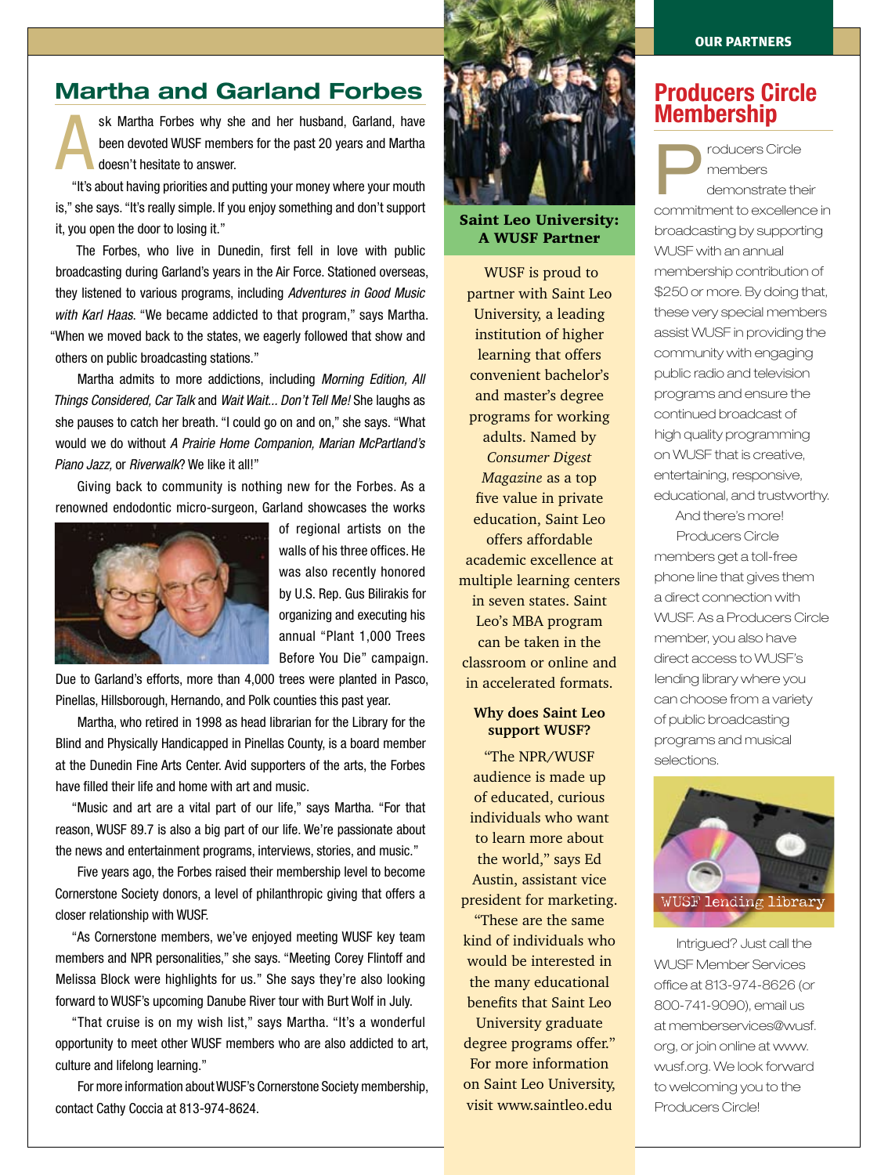### **Martha and Garland Forbes**

A sk Martha Forbes why she and her husband, Garland, have been devoted WUSF members for the past 20 years and Martha doesn't hesitate to answer.

"It's about having priorities and putting your money where your mouth is," she says. "It's really simple. If you enjoy something and don't support it, you open the door to losing it."

The Forbes, who live in Dunedin, first fell in love with public broadcasting during Garland's years in the Air Force. Stationed overseas, they listened to various programs, including *Adventures in Good Music with Karl Haas*. "We became addicted to that program," says Martha. "When we moved back to the states, we eagerly followed that show and others on public broadcasting stations."

Martha admits to more addictions, including *Morning Edition, All Things Considered, Car Talk* and *Wait Wait... Don't Tell Me!* She laughs as she pauses to catch her breath. "I could go on and on," she says. "What would we do without *A Prairie Home Companion, Marian McPartland's Piano Jazz,* or *Riverwalk*? We like it all!"

Giving back to community is nothing new for the Forbes. As a renowned endodontic micro-surgeon, Garland showcases the works



of regional artists on the walls of his three offices. He was also recently honored by U.S. Rep. Gus Bilirakis for organizing and executing his annual "Plant 1,000 Trees Before You Die" campaign.

Due to Garland's efforts, more than 4,000 trees were planted in Pasco, Pinellas, Hillsborough, Hernando, and Polk counties this past year.

Martha, who retired in 1998 as head librarian for the Library for the Blind and Physically Handicapped in Pinellas County, is a board member at the Dunedin Fine Arts Center. Avid supporters of the arts, the Forbes have filled their life and home with art and music.

"Music and art are a vital part of our life," says Martha. "For that reason, WUSF 89.7 is also a big part of our life. We're passionate about the news and entertainment programs, interviews, stories, and music."

Five years ago, the Forbes raised their membership level to become Cornerstone Society donors, a level of philanthropic giving that offers a closer relationship with WUSF.

"As Cornerstone members, we've enjoyed meeting WUSF key team members and NPR personalities," she says. "Meeting Corey Flintoff and Melissa Block were highlights for us." She says they're also looking forward to WUSF's upcoming Danube River tour with Burt Wolf in July.

"That cruise is on my wish list," says Martha. "It's a wonderful opportunity to meet other WUSF members who are also addicted to art, culture and lifelong learning."

For more information about WUSF's Cornerstone Society membership, contact Cathy Coccia at 813-974-8624.



Saint Leo University: A WUSF Partner

WUSF is proud to partner with Saint Leo University, a leading institution of higher learning that offers convenient bachelor's and master's degree programs for working adults. Named by *Consumer Digest Magazine* as a top five value in private education, Saint Leo offers affordable academic excellence at multiple learning centers in seven states. Saint Leo's MBA program can be taken in the classroom or online and in accelerated formats.

#### **Why does Saint Leo support WUSF?**

"The NPR/WUSF audience is made up of educated, curious individuals who want to learn more about the world," says Ed Austin, assistant vice president for marketing.

"These are the same kind of individuals who would be interested in the many educational benefits that Saint Leo University graduate degree programs offer." For more information on Saint Leo University, visit www.saintleo.edu

### **Producers Circle Membership**

Producers Circle<br>
members<br>
demonstrate their members

commitment to excellence in broadcasting by supporting WUSF with an annual membership contribution of \$250 or more. By doing that, these very special members assist WUSF in providing the community with engaging public radio and television programs and ensure the continued broadcast of high quality programming on WUSF that is creative, entertaining, responsive, educational, and trustworthy.

And there's more! Producers Circle members get a toll-free phone line that gives them a direct connection with WUSF. As a Producers Circle member, you also have direct access to WUSF's lending library where you can choose from a variety of public broadcasting programs and musical selections.



Intrigued? Just call the WUSF Member Services office at 813-974-8626 (or 800-741-9090), email us at memberservices@wusf. org, or join online at www. wusf.org. We look forward to welcoming you to the Producers Circle!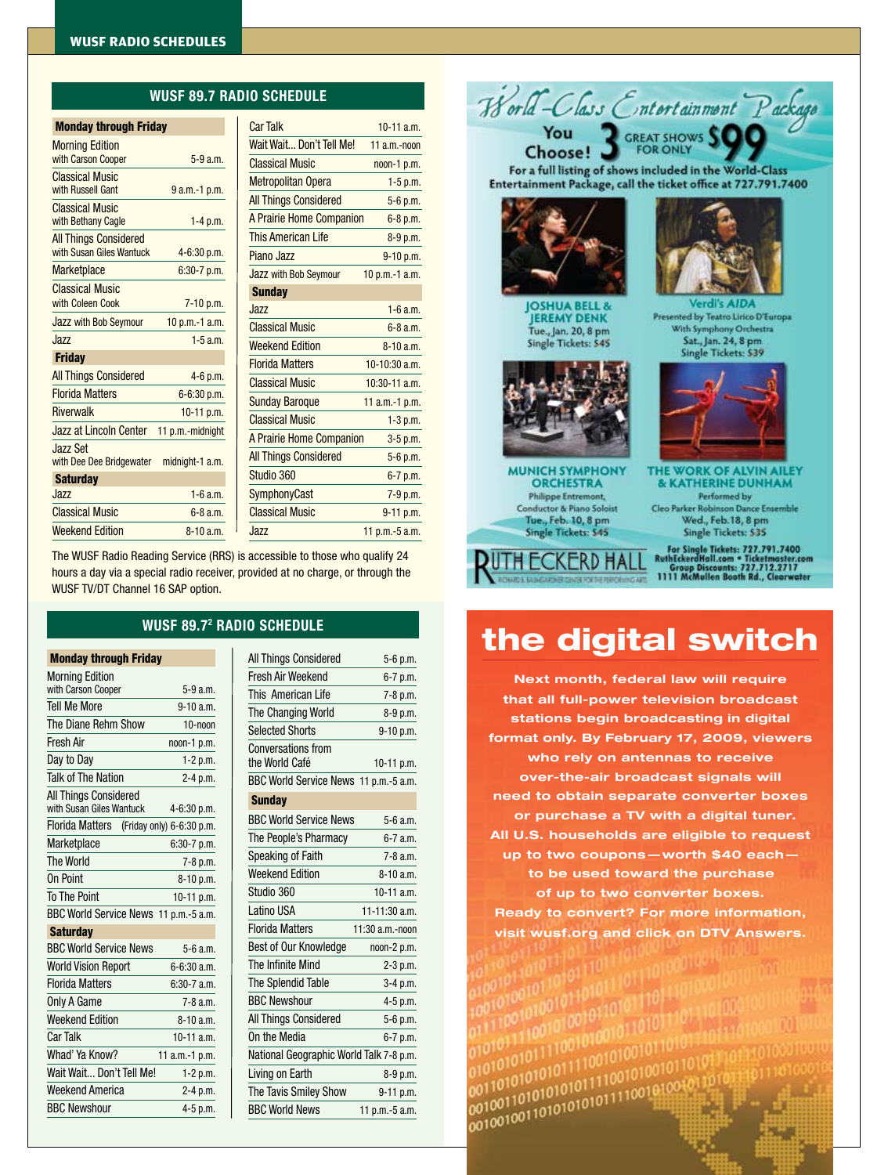#### **WUSF 89.7 RADIO SCHEDULE**

| <b>Monday through Friday</b>                             |                  |
|----------------------------------------------------------|------------------|
| <b>Morning Edition</b><br>with Carson Cooper             | $5-9a.m.$        |
| <b>Classical Music</b><br>with Russell Gant              | 9 a.m.-1 p.m.    |
| Classical Music<br>with Bethany Cagle                    | 1-4 p.m.         |
| <b>All Things Considered</b><br>with Susan Giles Wantuck | $4 - 6:30$ p.m.  |
| <b>Marketplace</b>                                       | $6:30-7$ p.m.    |
| <b>Classical Music</b><br>with Coleen Cook               | $7-10$ p.m.      |
| <b>Jazz with Bob Seymour</b>                             | 10 p.m.-1 $a.m.$ |
| $l$ azz                                                  | $1 - 5$ a.m.     |
| <b>Friday</b>                                            |                  |
| <b>All Things Considered</b>                             | 4-6 p.m.         |
| <b>Florida Matters</b>                                   | $6 - 6:30$ p.m.  |
| <b>Riverwalk</b>                                         | 10-11 p.m.       |
| Jazz at Lincoln Center                                   | 11 p.m.-midnight |
| Jazz Set<br>with Dee Dee Bridgewater                     | midnight-1 a.m.  |
| <b>Saturday</b>                                          |                  |
| Jazz                                                     | $1 - 6$ a.m.     |
| <b>Classical Music</b>                                   | $6 - 8$ a.m.     |
| <b>Weekend Edition</b>                                   | $8-10a.m.$       |

| <b>Car Talk</b>              | $10-11$ a.m.    |
|------------------------------|-----------------|
| Wait Wait Don't Tell Me!     | $11$ a.m.-noon  |
| <b>Classical Music</b>       | noon-1 p.m.     |
| <b>Metropolitan Opera</b>    | $1-5$ p.m.      |
| <b>All Things Considered</b> | 5-6 p.m.        |
| A Prairie Home Companion     | 6-8 p.m.        |
| <b>This American Life</b>    | 8-9 p.m.        |
| Piano Jazz                   | 9-10 p.m.       |
| <b>Jazz with Bob Seymour</b> | 10 p.m.-1 a.m.  |
| <b>Sunday</b>                |                 |
| $J$ azz                      | $1 - 6$ a.m.    |
| <b>Classical Music</b>       | $6 - 8$ a.m.    |
| <b>Weekend Edition</b>       | $8 - 10a.m.$    |
| <b>Florida Matters</b>       | 10-10:30 a.m.   |
| <b>Classical Music</b>       | $10:30-11$ a.m. |
| <b>Sunday Baroque</b>        | 11 a.m.-1 p.m.  |
| <b>Classical Music</b>       | $1-3$ p.m.      |
| A Prairie Home Companion     | $3-5$ p.m.      |
| <b>All Things Considered</b> | 5-6 p.m.        |
| Studio 360                   | 6-7 p.m.        |
| SymphonyCast                 | 7-9 p.m.        |
| <b>Classical Music</b>       | 9-11 p.m.       |
| $J$ azz                      | 11 p.m.-5 a.m.  |

The WUSF Radio Reading Service (RRS) is accessible to those who qualify 24 hours a day via a special radio receiver, provided at no charge, or through the WUSF TV/DT Channel 16 SAP option.

#### **WUSF 89.72 RADIO SCHEDULE**

| <b>Monday through Friday</b>                 |                           |
|----------------------------------------------|---------------------------|
| <b>Morning Edition</b><br>with Carson Cooper | 5-9 a.m.                  |
|                                              |                           |
| <b>Tell Me More</b>                          | $9-10a.m.$                |
| The Diane Rehm Show                          | $10-$ noon                |
| Fresh Air                                    | noon-1 p.m.               |
| Day to Day                                   | $1-2 p.m.$                |
| <b>Talk of The Nation</b>                    | 2-4 p.m.                  |
| All Things Considered                        |                           |
| with Susan Giles Wantuck                     | $4 - 6:30$ p.m.           |
| <b>Florida Matters</b>                       | (Friday only) 6-6:30 p.m. |
| Marketplace                                  | $6:30-7$ p.m.             |
| The World                                    | 7-8 p.m.                  |
| On Point                                     | 8-10 p.m.                 |
| <b>To The Point</b>                          | 10-11 p.m.                |
| BBC World Service News 11 p.m.-5 a.m.        |                           |
| <b>Saturday</b>                              |                           |
| <b>BBC World Service News</b>                | 5-6 a.m.                  |
| <b>World Vision Report</b>                   | 6-6:30 a.m.               |
| <b>Florida Matters</b>                       | $6:30-7$ a.m.             |
| Only A Game                                  | $7-8a.m.$                 |
| <b>Weekend Edition</b>                       | $8-10a.m.$                |
| Car Talk                                     | $10-11$ a.m.              |
| Whad' Ya Know?                               | 11 a.m.-1 p.m.            |
| Wait Wait Don't Tell Me!                     | $1-2 p.m.$                |
| Weekend America                              | 2-4 p.m.                  |
| <b>BBC Newshour</b>                          | 4-5 p.m.                  |

| All Things Considered                       | 5-6 p.m.        |
|---------------------------------------------|-----------------|
| Fresh Air Weekend                           | 6-7 p.m.        |
| This American Life                          | 7-8 p.m.        |
| The Changing World                          | 8-9 p.m.        |
| <b>Selected Shorts</b>                      | 9-10 p.m.       |
| <b>Conversations from</b><br>the World Café | 10-11 p.m.      |
| BBC World Service News 11 p.m.-5 a.m.       |                 |
| <b>Sunday</b>                               |                 |
| <b>BBC World Service News</b>               | 5-6 a.m.        |
| The People's Pharmacy                       | 6-7 a.m.        |
| Speaking of Faith                           | 7-8 a.m.        |
| <b>Weekend Edition</b>                      | $8 - 10$ a.m.   |
| Studio 360                                  | 10-11 a.m.      |
| Latino USA                                  | 11-11:30 a.m.   |
| <b>Florida Matters</b>                      | 11:30 a.m.-noon |
| Best of Our Knowledge                       | noon-2 p.m.     |
| The Infinite Mind                           | 2-3 p.m.        |
| The Splendid Table                          | 3-4 p.m.        |
| <b>BBC Newshour</b>                         | 4-5 p.m.        |
| All Things Considered                       | 5-6 p.m.        |
| On the Media                                | 6-7 p.m.        |
| National Geographic World Talk 7-8 p.m.     |                 |
| Living on Earth                             | 8-9 p.m.        |
| The Tavis Smiley Show                       | 9-11 p.m.       |
| <b>BBC World News</b>                       | 11 p.m.-5 a.m.  |
|                                             |                 |



## the digital switch

**Next month, federal law will require that all full-power television broadcast stations begin broadcasting in digital format only. By February 17, 2009, viewers who rely on antennas to receive over-the-air broadcast signals will need to obtain separate converter boxes or purchase a TV with a digital tuner. All U.S. households are eligible to request up to two coupons — worth \$40 each to be used toward the purchase of up to two converter boxes. Ready to convert? For more information, visit wusf.org and click on DTV Answers.**

 $0110110101$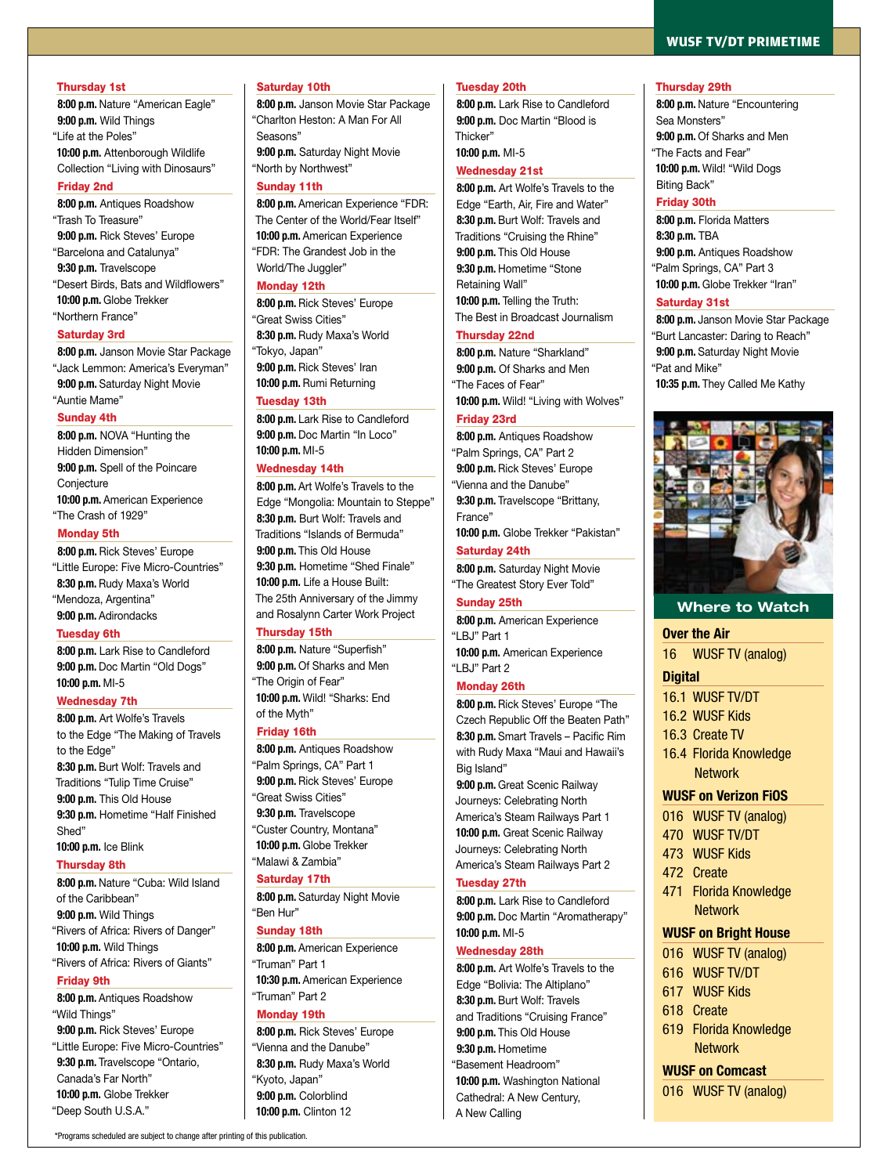#### Thursday 1st

**8:00 p.m.** Nature "American Eagle" **9:00 p.m.** Wild Things "Life at the Poles" **10:00 p.m.** Attenborough Wildlife Collection "Living with Dinosaurs"

#### Friday 2nd

**8:00 p.m.** Antiques Roadshow "Trash To Treasure" **9:00 p.m.** Rick Steves' Europe "Barcelona and Catalunya" **9:30 p.m.** Travelscope "Desert Birds, Bats and Wildflowers" **10:00 p.m.** Globe Trekker

"Northern France"

#### Saturday 3rd

**8:00 p.m.** Janson Movie Star Package "Jack Lemmon: America's Everyman" **9:00 p.m.** Saturday Night Movie "Auntie Mame"

#### Sunday 4th

**8:00 p.m.** NOVA "Hunting the Hidden Dimension" **9:00 p.m.** Spell of the Poincare **Conjecture 10:00 p.m.** American Experience "The Crash of 1929"

#### Monday 5th

**8:00 p.m.** Rick Steves' Europe "Little Europe: Five Micro-Countries" **8:30 p.m.** Rudy Maxa's World "Mendoza, Argentina" **9:00 p.m.** Adirondacks

#### Tuesday 6th

**8:00 p.m.** Lark Rise to Candleford **9:00 p.m.** Doc Martin "Old Dogs" **10:00 p.m.** MI-5

#### Wednesday 7th

**8:00 p.m.** Art Wolfe's Travels to the Edge "The Making of Travels to the Edge" **8:30 p.m.** Burt Wolf: Travels and Traditions "Tulip Time Cruise" **9:00 p.m.** This Old House **9:30 p.m.** Hometime "Half Finished Shed" **10:00 p.m.** Ice Blink

#### Thursday 8th

**8:00 p.m.** Nature "Cuba: Wild Island of the Caribbean" **9:00 p.m.** Wild Things "Rivers of Africa: Rivers of Danger" **10:00 p.m.** Wild Things "Rivers of Africa: Rivers of Giants" Friday 9th

**8:00 p.m.** Antiques Roadshow "Wild Things" **9:00 p.m.** Rick Steves' Europe "Little Europe: Five Micro-Countries" **9:30 p.m.** Travelscope "Ontario, Canada's Far North" **10:00 p.m.** Globe Trekker "Deep South U.S.A."

#### Saturday 10th

**8:00 p.m.** Janson Movie Star Package "Charlton Heston: A Man For All Seasons" **9:00 p.m.** Saturday Night Movie

"North by Northwest"

#### Sunday 11th

**8:00 p.m.** American Experience "FDR: The Center of the World/Fear Itself" **10:00 p.m.** American Experience "FDR: The Grandest Job in the World/The Juggler"

#### Monday 12th

**8:00 p.m.** Rick Steves' Europe "Great Swiss Cities" **8:30 p.m.** Rudy Maxa's World "Tokyo, Japan" **9:00 p.m.** Rick Steves' Iran **10:00 p.m.** Rumi Returning

#### Tuesday 13th

**8:00 p.m.** Lark Rise to Candleford **9:00 p.m.** Doc Martin "In Loco" **10:00 p.m.** MI-5

#### Wednesday 14th

**8:00 p.m.** Art Wolfe's Travels to the Edge "Mongolia: Mountain to Steppe" **8:30 p.m.** Burt Wolf: Travels and Traditions "Islands of Bermuda" **9:00 p.m.** This Old House **9:30 p.m.** Hometime "Shed Finale" **10:00 p.m.** Life a House Built: The 25th Anniversary of the Jimmy and Rosalynn Carter Work Project

#### Thursday 15th

**8:00 p.m.** Nature "Superfish" **9:00 p.m.** Of Sharks and Men "The Origin of Fear" **10:00 p.m.** Wild! "Sharks: End of the Myth"

#### Friday 16th

**8:00 p.m.** Antiques Roadshow "Palm Springs, CA" Part 1 **9:00 p.m.** Rick Steves' Europe "Great Swiss Cities" **9:30 p.m.** Travelscope "Custer Country, Montana" **10:00 p.m.** Globe Trekker "Malawi & Zambia"

#### Saturday 17th

**8:00 p.m.** Saturday Night Movie "Ben Hur"

#### Sunday 18th

**8:00 p.m.** American Experience 'Truman" Part 1 **10:30 p.m.** American Experience 'Truman" Part 2

#### Monday 19th

**8:00 p.m.** Rick Steves' Europe "Vienna and the Danube" **8:30 p.m.** Rudy Maxa's World "Kyoto, Japan" **9:00 p.m.** Colorblind **10:00 p.m.** Clinton 12

#### Tuesday 20th

**8:00 p.m.** Lark Rise to Candleford **9:00 p.m.** Doc Martin "Blood is Thicker" **10:00 p.m.** MI-5

#### Wednesday 21st

**8:00 p.m.** Art Wolfe's Travels to the Edge "Earth, Air, Fire and Water" **8:30 p.m.** Burt Wolf: Travels and Traditions "Cruising the Rhine" **9:00 p.m.** This Old House **9:30 p.m.** Hometime "Stone Retaining Wall" **10:00 p.m.** Telling the Truth: The Best in Broadcast Journalism

#### Thursday 22nd

**8:00 p.m.** Nature "Sharkland" **9:00 p.m.** Of Sharks and Men The Faces of Fear **10:00 p.m.** Wild! "Living with Wolves"

#### Friday 23rd

**8:00 p.m.** Antiques Roadshow "Palm Springs, CA" Part 2 **9:00 p.m.** Rick Steves' Europe "Vienna and the Danube" **9:30 p.m.** Travelscope "Brittany, France"

**10:00 p.m.** Globe Trekker "Pakistan" Saturday 24th

#### **8:00 p.m.** Saturday Night Movie "The Greatest Story Ever Told"

Sunday 25th

**8:00 p.m.** American Experience "LBJ" Part 1 **10:00 p.m.** American Experience

"LBJ" Part 2

#### Monday 26th

**8:00 p.m.** Rick Steves' Europe "The Czech Republic Off the Beaten Path" **8:30 p.m.** Smart Travels – Pacific Rim with Rudy Maxa "Maui and Hawaii's Big Island"

**9:00 p.m.** Great Scenic Railway Journeys: Celebrating North America's Steam Railways Part 1 **10:00 p.m.** Great Scenic Railway Journeys: Celebrating North

America's Steam Railways Part 2

#### Tuesday 27th

**8:00 p.m.** Lark Rise to Candleford **9:00 p.m.** Doc Martin "Aromatherapy" **10:00 p.m.** MI-5

#### Wednesday 28th

**8:00 p.m.** Art Wolfe's Travels to the Edge "Bolivia: The Altiplano" **8:30 p.m.** Burt Wolf: Travels and Traditions "Cruising France" **9:00 p.m.** This Old House **9:30 p.m.** Hometime "Basement Headroom" **10:00 p.m.** Washington National Cathedral: A New Century, A New Calling

#### Thursday 29th

**8:00 p.m.** Nature "Encountering Sea Monsters" **9:00 p.m.** Of Sharks and Men "The Facts and Fear" **10:00 p.m.** Wild! "Wild Dogs Biting Back"

#### Friday 30th

**8:00 p.m.** Florida Matters **8:30 p.m.** TBA **9:00 p.m.** Antiques Roadshow "Palm Springs, CA" Part 3 **10:00 p.m.** Globe Trekker "Iran"

#### Saturday 31st

**8:00 p.m.** Janson Movie Star Package "Burt Lancaster: Daring to Reach" **9:00 p.m.** Saturday Night Movie "Pat and Mike" **10:35 p.m.** They Called Me Kathy



#### **Where to Watch**

#### **Over the Air**

16 WUSF TV (analog)

#### **Digital**

- 16.1 WUSF TV/DT
- 16.2 WUSF Kids
- 16.3 Create TV
- 16.4 Florida Knowledge Network

#### **WUSF on Verizon FiOS**

- 016 WUSF TV (analog)
- 470 WUSF TV/DT
- 473 WUSF Kids
- 472 Create
- 471 Florida Knowledge **Network**

#### **WUSF on Bright House**

- 016 WUSF TV (analog)
- 616 WUSF TV/DT
- 617 WUSF Kids
- 618 Create
- 619 Florida Knowledge **Network**

#### **WUSF on Comcast**

016 WUSF TV (analog)

\*Programs scheduled are subject to change after printing of this publication.